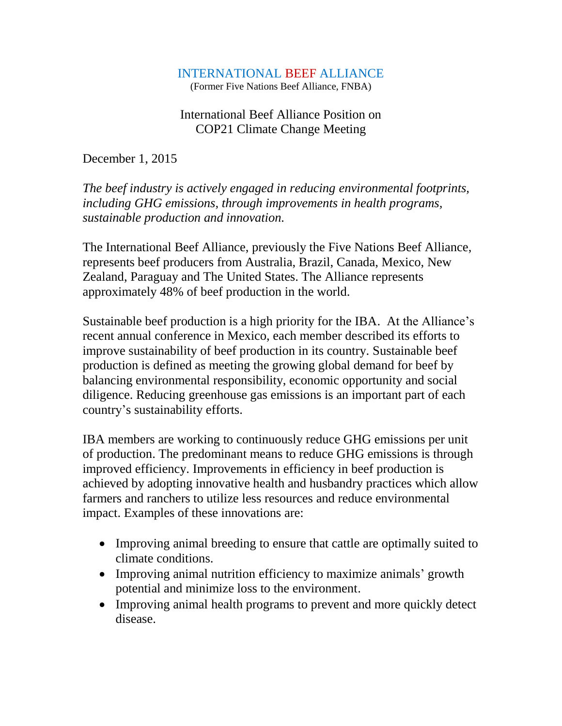## INTERNATIONAL BEEF ALLIANCE

(Former Five Nations Beef Alliance, FNBA)

# International Beef Alliance Position on COP21 Climate Change Meeting

December 1, 2015

*The beef industry is actively engaged in reducing environmental footprints, including GHG emissions, through improvements in health programs, sustainable production and innovation.* 

The International Beef Alliance, previously the Five Nations Beef Alliance, represents beef producers from Australia, Brazil, Canada, Mexico, New Zealand, Paraguay and The United States. The Alliance represents approximately 48% of beef production in the world.

Sustainable beef production is a high priority for the IBA. At the Alliance's recent annual conference in Mexico, each member described its efforts to improve sustainability of beef production in its country. Sustainable beef production is defined as meeting the growing global demand for beef by balancing environmental responsibility, economic opportunity and social diligence. Reducing greenhouse gas emissions is an important part of each country's sustainability efforts.

IBA members are working to continuously reduce GHG emissions per unit of production. The predominant means to reduce GHG emissions is through improved efficiency. Improvements in efficiency in beef production is achieved by adopting innovative health and husbandry practices which allow farmers and ranchers to utilize less resources and reduce environmental impact. Examples of these innovations are:

- Improving animal breeding to ensure that cattle are optimally suited to climate conditions.
- Improving animal nutrition efficiency to maximize animals' growth potential and minimize loss to the environment.
- Improving animal health programs to prevent and more quickly detect disease.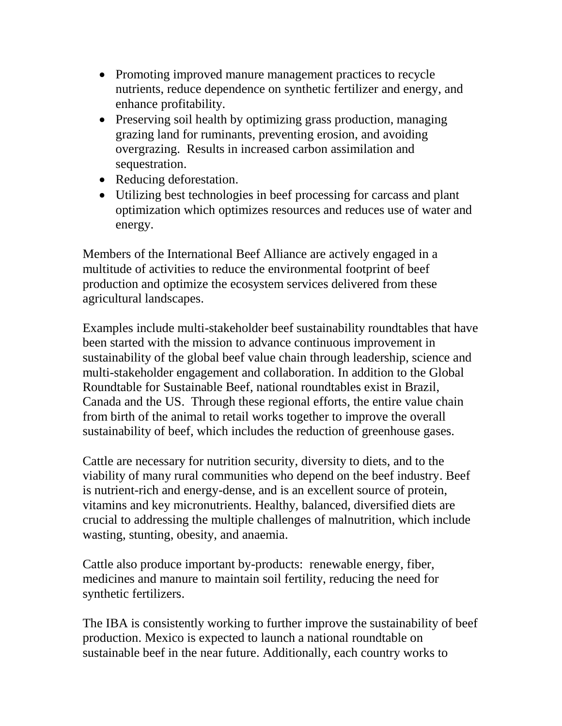- Promoting improved manure management practices to recycle nutrients, reduce dependence on synthetic fertilizer and energy, and enhance profitability.
- Preserving soil health by optimizing grass production, managing grazing land for ruminants, preventing erosion, and avoiding overgrazing. Results in increased carbon assimilation and sequestration.
- Reducing deforestation.
- Utilizing best technologies in beef processing for carcass and plant optimization which optimizes resources and reduces use of water and energy.

Members of the International Beef Alliance are actively engaged in a multitude of activities to reduce the environmental footprint of beef production and optimize the ecosystem services delivered from these agricultural landscapes.

Examples include multi-stakeholder beef sustainability roundtables that have been started with the mission to advance continuous improvement in sustainability of the global beef value chain through leadership, science and multi-stakeholder engagement and collaboration. In addition to the Global Roundtable for Sustainable Beef, national roundtables exist in Brazil, Canada and the US. Through these regional efforts, the entire value chain from birth of the animal to retail works together to improve the overall sustainability of beef, which includes the reduction of greenhouse gases.

Cattle are necessary for nutrition security, diversity to diets, and to the viability of many rural communities who depend on the beef industry. Beef is nutrient-rich and energy-dense, and is an excellent source of protein, vitamins and key micronutrients. Healthy, balanced, diversified diets are crucial to addressing the multiple challenges of malnutrition, which include wasting, stunting, obesity, and anaemia.

Cattle also produce important by-products: renewable energy, fiber, medicines and manure to maintain soil fertility, reducing the need for synthetic fertilizers.

The IBA is consistently working to further improve the sustainability of beef production. Mexico is expected to launch a national roundtable on sustainable beef in the near future. Additionally, each country works to